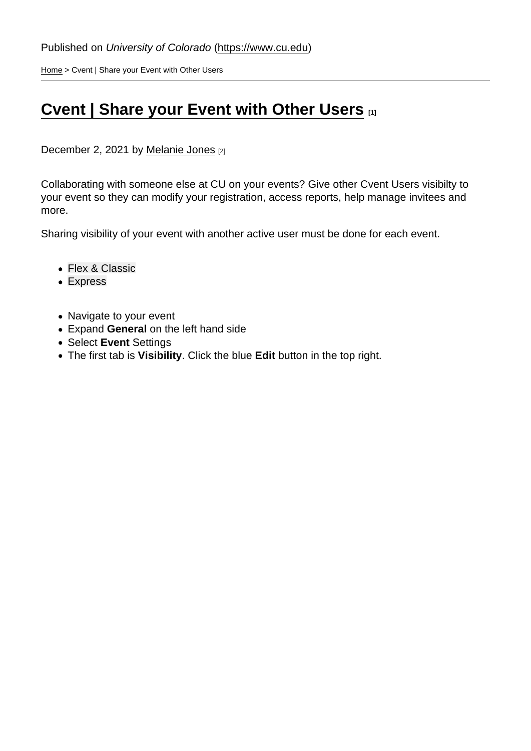[Home](https://www.cu.edu/) > Cvent | Share your Event with Other Users

## [Cvent | Share your Event with Other Users](https://www.cu.edu/blog/ecomm-wiki/cvent-share-your-event-other-users) [1]

December 2, 2021 by [Melanie Jones](https://www.cu.edu/blog/ecomm-wiki/author/39) [2]

Collaborating with someone else at CU on your events? Give other Cvent Users visibilty to your event so they can modify your registration, access reports, help manage invitees and more.

Sharing visibility of your event with another active user must be done for each event.

- Flex & Classic
- [Express](#page-2-0)
- Navigate to your event
- Expand General on the left hand side
- Select Event Settings
- The first tab is Visibility . Click the blue Edit button in the top right.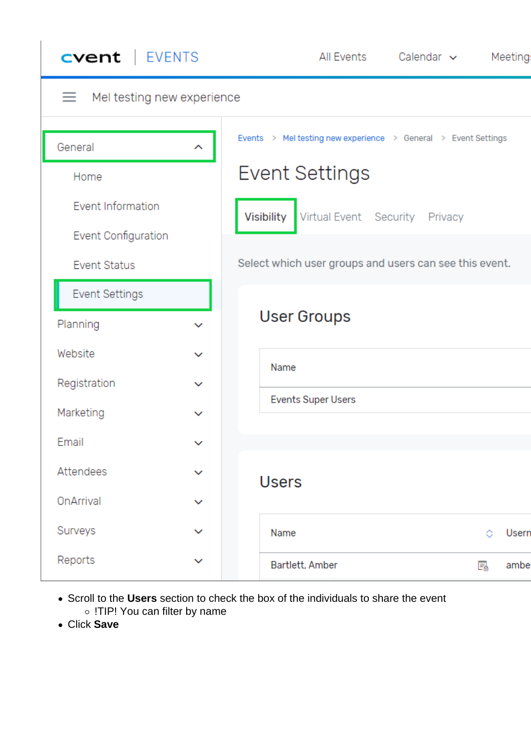| <b>cvent</b>   EVENTS                    | Calendar $\sim$<br>All Events<br>Meeting:                      |
|------------------------------------------|----------------------------------------------------------------|
| Mel testing new experience<br>≡          |                                                                |
| General<br>∼                             | Events > Mel testing new experience > General > Event Settings |
| Home                                     | <b>Event Settings</b>                                          |
| Event Information<br>Event Configuration | Visibility<br>Virtual Event Security Privacy                   |
| <b>Event Status</b>                      | Select which user groups and users can see this event.         |
| <b>Event Settings</b>                    |                                                                |
| Planning<br>$\checkmark$                 | <b>User Groups</b>                                             |
| Website<br>$\checkmark$                  | Name                                                           |
| Registration<br>$\checkmark$             | <b>Events Super Users</b>                                      |
| Marketing<br>$\checkmark$                |                                                                |
| Email<br>v                               |                                                                |
| Attendees<br>◡                           | <b>Users</b>                                                   |
| OnArrival<br>$\checkmark$                |                                                                |
| Surveys<br>$\checkmark$                  | Name<br>Usern<br>◇                                             |
| Reports<br>$\checkmark$                  | Bartlett, Amber<br>F.<br>ambe                                  |

- Scroll to the **Users** section to check the box of the individuals to share the event o !TIP! You can filter by name
- Click **Save**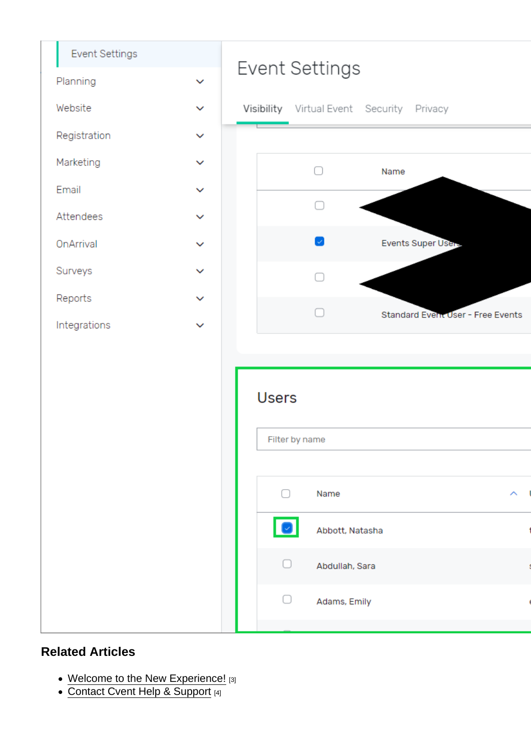<span id="page-2-0"></span>Related Articles

- [Welcome to the New Experience!](https://www.cu.edu/blog/ecomm-wiki/cvent-welcome-new-user-experience) [3]
- [Contact Cvent Help & Support](https://www.cu.edu/blog/ecomm-wiki/cvent-support-and-resources) [4]